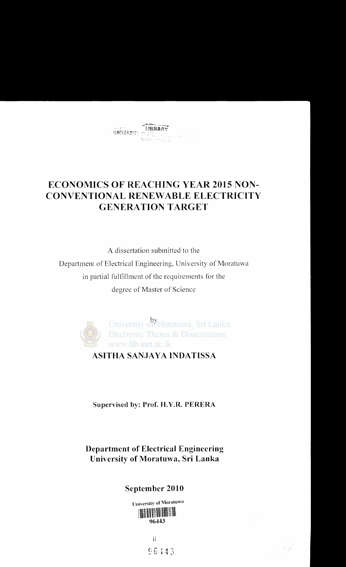# ECONOMICS OF REACHING YEAR 2015 NON-CONVENTIONAL RENEWABLE ELECTRICITY GENERATION TARGET

A dissertation submitted to the Department of Electrical Engineering, University of Moratuwa in partial fulfillment of the requirements for the degree of Master of Science



#### Supervised by: Prof. H.Y.R. PERERA

### Department of Electrical Engineering University of Moratuwa, Sri Lanka

### September 2010

University of Moratuwa \\\\\\\\\\\\\\\\\\\\\\\\\\\\\\\\\\\ 96443

> II 86443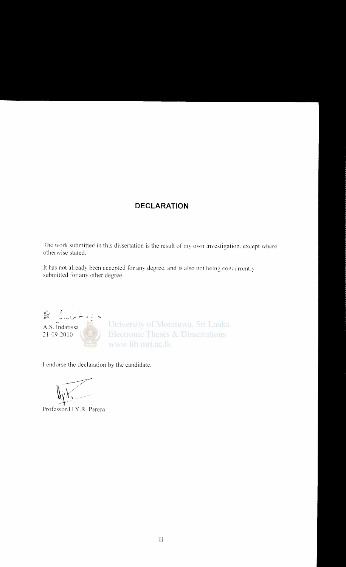#### **DECLARATION**

The work submitted in this dissertation is the result of my own investigation, except where otherwise stated.

It has not already been accepted for any degree, and is also not being concurrently submitted for any other degree.



I endorse the declaration by the candidate.

Professor.H.Y.R. Perera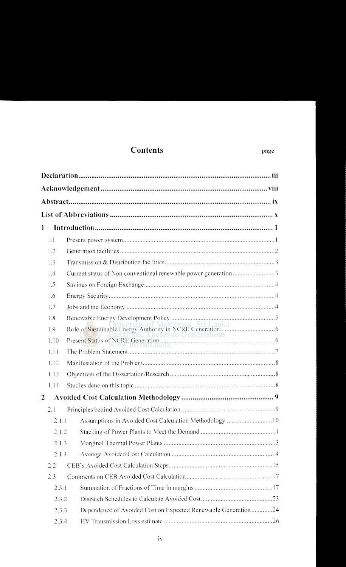### **Contents**

| 1              |                                                                 |                                                               |  |  |  |
|----------------|-----------------------------------------------------------------|---------------------------------------------------------------|--|--|--|
| 1.1            |                                                                 |                                                               |  |  |  |
| 1.2            |                                                                 |                                                               |  |  |  |
| 1.3            |                                                                 |                                                               |  |  |  |
| 1.4            | Current status of Non conventional renewable power generation 3 |                                                               |  |  |  |
| 1.5            |                                                                 |                                                               |  |  |  |
| 1.6            |                                                                 |                                                               |  |  |  |
| 1.7            |                                                                 |                                                               |  |  |  |
| 1.8            |                                                                 |                                                               |  |  |  |
| 1.9            |                                                                 |                                                               |  |  |  |
| 1.10           |                                                                 |                                                               |  |  |  |
| 1.11           |                                                                 |                                                               |  |  |  |
| 1.12           |                                                                 |                                                               |  |  |  |
| 1.13           |                                                                 |                                                               |  |  |  |
| 1.14           |                                                                 |                                                               |  |  |  |
| $\overline{2}$ |                                                                 |                                                               |  |  |  |
| 2.1            |                                                                 |                                                               |  |  |  |
|                |                                                                 | 2.1.1 Assumptions in Avoided Cost Calculation Methodology 10  |  |  |  |
|                | 2.1.2                                                           |                                                               |  |  |  |
|                | 2.1.3                                                           |                                                               |  |  |  |
|                | 2.1.4                                                           |                                                               |  |  |  |
| 2.2            |                                                                 |                                                               |  |  |  |
| 2.3            |                                                                 |                                                               |  |  |  |
|                | 2.3.1                                                           |                                                               |  |  |  |
| 2.3.2          |                                                                 |                                                               |  |  |  |
|                | 2.3.3                                                           | Dependence of Avoided Cost on Expected Renewable Generation24 |  |  |  |
| 2.3.4          |                                                                 |                                                               |  |  |  |

page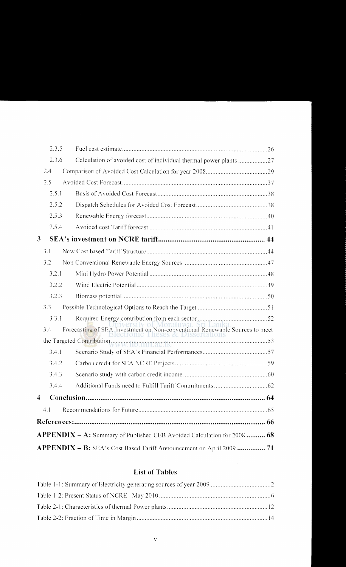| 2.3.5                   |                                                                            |
|-------------------------|----------------------------------------------------------------------------|
| 2.3.6                   | Calculation of avoided cost of individual thermal power plants 27          |
| 2.4                     |                                                                            |
| 2.5                     |                                                                            |
| 2.5.1                   |                                                                            |
| 2.5.2                   |                                                                            |
| 2.5.3                   |                                                                            |
| 2.5.4                   |                                                                            |
| $\mathbf{3}$            |                                                                            |
| 3.1                     |                                                                            |
| 3.2                     |                                                                            |
| 3.2.1                   |                                                                            |
| 3.2.2                   |                                                                            |
| 3.2.3                   |                                                                            |
| 3.3                     |                                                                            |
| 3.3.1                   |                                                                            |
| 3.4                     |                                                                            |
|                         |                                                                            |
| 3.4.1                   |                                                                            |
| 3.4.2                   |                                                                            |
| 3.4.3                   |                                                                            |
| 3.4.4                   |                                                                            |
| $\overline{\mathbf{4}}$ |                                                                            |
| 4.1                     |                                                                            |
|                         |                                                                            |
|                         | $APPENDIX - A$ : Summary of Published CEB Avoided Calculation for 2008  68 |
|                         | APPENDIX - B: SEA's Cost Based Tariff Announcement on April 2009  71       |

#### **List of Tables**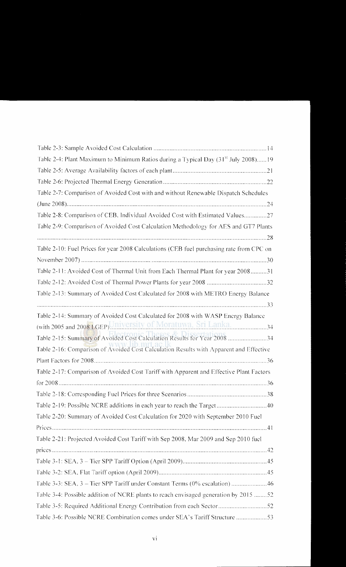| Table 2-4: Plant Maximum to Minimum Ratios during a Typical Day (31 <sup>st</sup> July 2008) 19 |  |  |  |  |  |  |
|-------------------------------------------------------------------------------------------------|--|--|--|--|--|--|
|                                                                                                 |  |  |  |  |  |  |
|                                                                                                 |  |  |  |  |  |  |
| Table 2-7: Comparison of Avoided Cost with and without Renewable Dispatch Schedules             |  |  |  |  |  |  |
|                                                                                                 |  |  |  |  |  |  |
| Table 2-8: Comparison of CEB, Individual Avoided Cost with Estimated Values27                   |  |  |  |  |  |  |
| Table 2-9: Comparison of Avoided Cost Calculation Methodology for AES and GT7 Plants            |  |  |  |  |  |  |
|                                                                                                 |  |  |  |  |  |  |
| Table 2-10: Fuel Prices for year 2008 Calculations (CEB fuel purchasing rate from CPC on        |  |  |  |  |  |  |
|                                                                                                 |  |  |  |  |  |  |
| Table 2-11: Avoided Cost of Thermal Unit from Each Thermal Plant for year 200831                |  |  |  |  |  |  |
|                                                                                                 |  |  |  |  |  |  |
| Table 2-13: Summary of Avoided Cost Calculated for 2008 with METRO Energy Balance               |  |  |  |  |  |  |
|                                                                                                 |  |  |  |  |  |  |
| Table 2-14: Summary of Avoided Cost Calculated for 2008 with WASP Energy Balance                |  |  |  |  |  |  |
| (with 2005 and 2008 LGEP)University of Moratuwa, Sri Lanka.                                     |  |  |  |  |  |  |
| Table 2-15: Summary of Avoided Cost Calculation Results for Year 2008 34                        |  |  |  |  |  |  |
| Table 2-16: Comparison of Avoided Cost Calculation Results with Apparent and Effective          |  |  |  |  |  |  |
|                                                                                                 |  |  |  |  |  |  |
| Table 2-17: Comparison of Avoided Cost Tariff with Apparent and Effective Plant Factors         |  |  |  |  |  |  |
|                                                                                                 |  |  |  |  |  |  |
|                                                                                                 |  |  |  |  |  |  |
|                                                                                                 |  |  |  |  |  |  |
| Table 2-20: Summary of Avoided Cost Calculation for 2020 with September 2010 Fuel               |  |  |  |  |  |  |
|                                                                                                 |  |  |  |  |  |  |
| Table 2-21: Projected Avoided Cost Tariff with Sep 2008, Mar 2009 and Sep 2010 fuel             |  |  |  |  |  |  |
|                                                                                                 |  |  |  |  |  |  |
|                                                                                                 |  |  |  |  |  |  |
|                                                                                                 |  |  |  |  |  |  |
| Table 3-3: SEA, 3 - Tier SPP Tariff under Constant Terms (0% escalation) 46                     |  |  |  |  |  |  |
| Table 3-4: Possible addition of NCRE plants to reach envisaged generation by 2015 52            |  |  |  |  |  |  |
| Table 3-5: Required Additional Energy Contribution from each Sector52                           |  |  |  |  |  |  |
| Table 3-6: Possible NCRE Combination comes under SEA's Tariff Structure 53                      |  |  |  |  |  |  |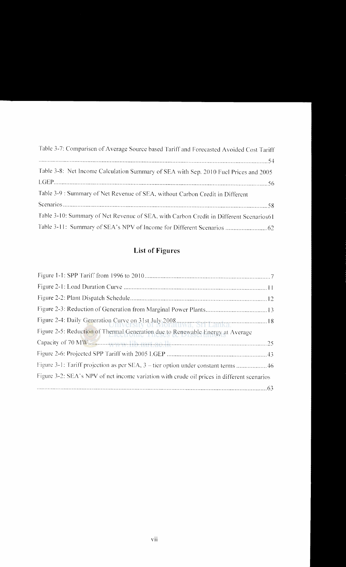| Table 3-7: Comparison of Average Source based Tariff and Forecasted Avoided Cost Tariff |  |  |  |
|-----------------------------------------------------------------------------------------|--|--|--|
|                                                                                         |  |  |  |
| Table 3-8: Net Income Calculation Summary of SEA with Sep. 2010 Fuel Prices and 2005    |  |  |  |
|                                                                                         |  |  |  |
| Table 3-9 : Summary of Net Revenue of SEA, without Carbon Credit in Different           |  |  |  |
|                                                                                         |  |  |  |
| Table 3-10: Summary of Net Revenuc of SEA, with Carbon Credit in Different Scenarios61  |  |  |  |
|                                                                                         |  |  |  |

## **List of Figures**

| Figure 2-4: Daily Generation Curve on 31st July 2008                                       |
|--------------------------------------------------------------------------------------------|
| Figure 2-5: Reduction of Thermal Generation due to Renewable Energy at Average             |
|                                                                                            |
|                                                                                            |
| Figure 3-1: Tariff projection as per SEA, 3 – tier option under constant terms 46          |
| Figure 3-2: SEA's NPV of net income variation with crude oil prices in different scenarios |
|                                                                                            |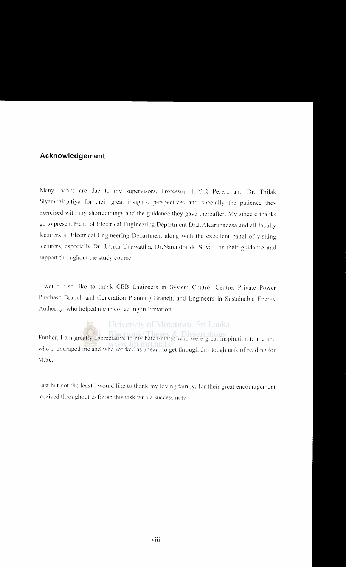#### **Acknowledgement**

Many thanks arc due to my supervisors. Professor. **li.Y.R** Perera and Dr. Thilak Siyambalapitiya for their great insights. perspectives and specially the patience they exercised with my shortcomings and the guidance they gave thereafter. My sincere thanks go to present Head of Electrical Engineering Department Dr.J.P. Karunadasa and all faculty lecturers at Electrical Engineering Department along with the excellent panel of visiting lecturers. especially Dr. Lanka Udavvattha, Dr.Narendra de Silva. for their guidance and support throughout the study course.

I would also like to thank CEB Engineers in System Control Centre, Private Power Purchase Branch and Generation Planning Branch. and Engineers in Sustainable Energy Authority. who helped me in collecting information.

# University of Moratuwa, Sri Lanka.

Further, I am greatly appreciative to my batch-mates who were great inspiration to me and who encouraged me and who worked as a team to get through this tough task of reading for M.Sc.

Last but not the least I would like to thank my loving family, for their great encouragement received throughout to finish this task with a success note.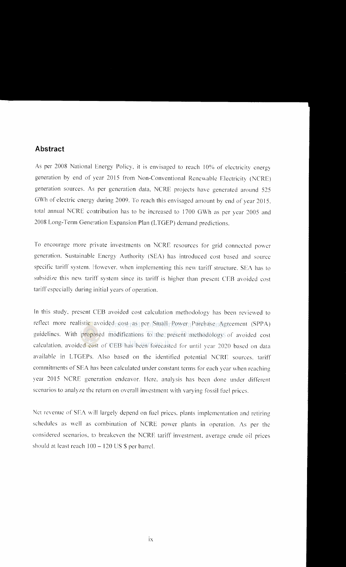#### **Abstract**

As per 2008 National Energy Policy, it is envisaged to reach 10% of electricity energy generation by end of year 2015 from Non-Conventional Renewable Electricity (NCRE) generation sources. As per generation data, NCRE projects have generated around 525 GWh of electric energy during 2009. To reach this envisaged amount by end of year 2015, total annual NCRE contribution has to be increased to 1700 GWh as per year 2005 and 2008 Long-Term Generation Expansion Plan (LTGEP) demand predictions.

To encourage more private investments on NCRE resources for grid connected power generation, Sustainable Energy Authority (SEA) has introduced cost based and source specific tariff system. However, when implementing this new tariff structure. SEA has to subsidize this new tariff system since its tariff is higher than present CEB avoided cost tariff especially during initial years of operation.

In this study. present CEB avoided cost calculation methodology has been reviewed to reflect more realistic avoided cost as per Small Power Purchase Agreement (SPPA) guidelines. With proposed modifications to the present methodology of avoided cost calculation, avoided cost of CEB has been forecasted for until year 2020 based on data available in LTGEPs. Also based on the identified potential NCRE sources, tariff commitments of SEA has been calculated under constant terms for each year when reaching year 2015 NCRE generation endeavor. Here. analysis has been done under different scenarios to analyze the return on overall investment with varying fossil fuel prices.

Net revenue of SEA will largely depend on fuel prices. plants implementation and retiring schedules as well as combination of NCRE power plants in operation. As per the considered scenarios, to breakcven the NCRE tariff investment. average crude oil prices should at least reach  $100 - 120$  US \$ per barrel.